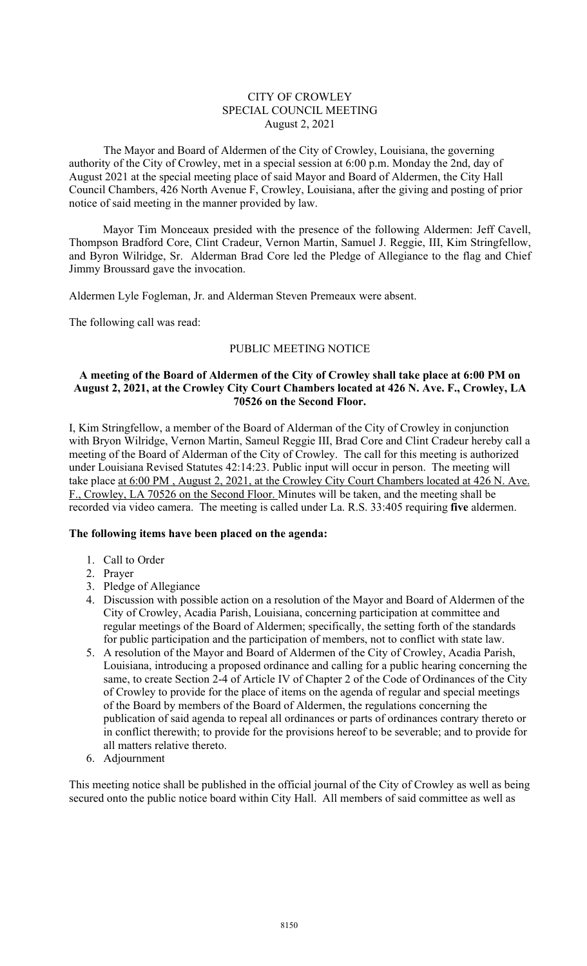## CITY OF CROWLEY SPECIAL COUNCIL MEETING August 2, 2021

The Mayor and Board of Aldermen of the City of Crowley, Louisiana, the governing authority of the City of Crowley, met in a special session at 6:00 p.m. Monday the 2nd, day of August 2021 at the special meeting place of said Mayor and Board of Aldermen, the City Hall Council Chambers, 426 North Avenue F, Crowley, Louisiana, after the giving and posting of prior notice of said meeting in the manner provided by law.

 Mayor Tim Monceaux presided with the presence of the following Aldermen: Jeff Cavell, Thompson Bradford Core, Clint Cradeur, Vernon Martin, Samuel J. Reggie, III, Kim Stringfellow, and Byron Wilridge, Sr. Alderman Brad Core led the Pledge of Allegiance to the flag and Chief Jimmy Broussard gave the invocation.

Aldermen Lyle Fogleman, Jr. and Alderman Steven Premeaux were absent.

The following call was read:

## PUBLIC MEETING NOTICE

## A meeting of the Board of Aldermen of the City of Crowley shall take place at 6:00 PM on August 2, 2021, at the Crowley City Court Chambers located at 426 N. Ave. F., Crowley, LA 70526 on the Second Floor.

I, Kim Stringfellow, a member of the Board of Alderman of the City of Crowley in conjunction with Bryon Wilridge, Vernon Martin, Sameul Reggie III, Brad Core and Clint Cradeur hereby call a meeting of the Board of Alderman of the City of Crowley. The call for this meeting is authorized under Louisiana Revised Statutes 42:14:23. Public input will occur in person. The meeting will take place at 6:00 PM, August 2, 2021, at the Crowley City Court Chambers located at 426 N. Ave. F., Crowley, LA 70526 on the Second Floor. Minutes will be taken, and the meeting shall be recorded via video camera. The meeting is called under La. R.S. 33:405 requiring five aldermen.

## The following items have been placed on the agenda:

- 1. Call to Order
- 2. Prayer
- 3. Pledge of Allegiance
- 4. Discussion with possible action on a resolution of the Mayor and Board of Aldermen of the City of Crowley, Acadia Parish, Louisiana, concerning participation at committee and regular meetings of the Board of Aldermen; specifically, the setting forth of the standards for public participation and the participation of members, not to conflict with state law.
- 5. A resolution of the Mayor and Board of Aldermen of the City of Crowley, Acadia Parish, Louisiana, introducing a proposed ordinance and calling for a public hearing concerning the same, to create Section 2-4 of Article IV of Chapter 2 of the Code of Ordinances of the City of Crowley to provide for the place of items on the agenda of regular and special meetings of the Board by members of the Board of Aldermen, the regulations concerning the publication of said agenda to repeal all ordinances or parts of ordinances contrary thereto or in conflict therewith; to provide for the provisions hereof to be severable; and to provide for all matters relative thereto.
- 6. Adjournment

This meeting notice shall be published in the official journal of the City of Crowley as well as being secured onto the public notice board within City Hall. All members of said committee as well as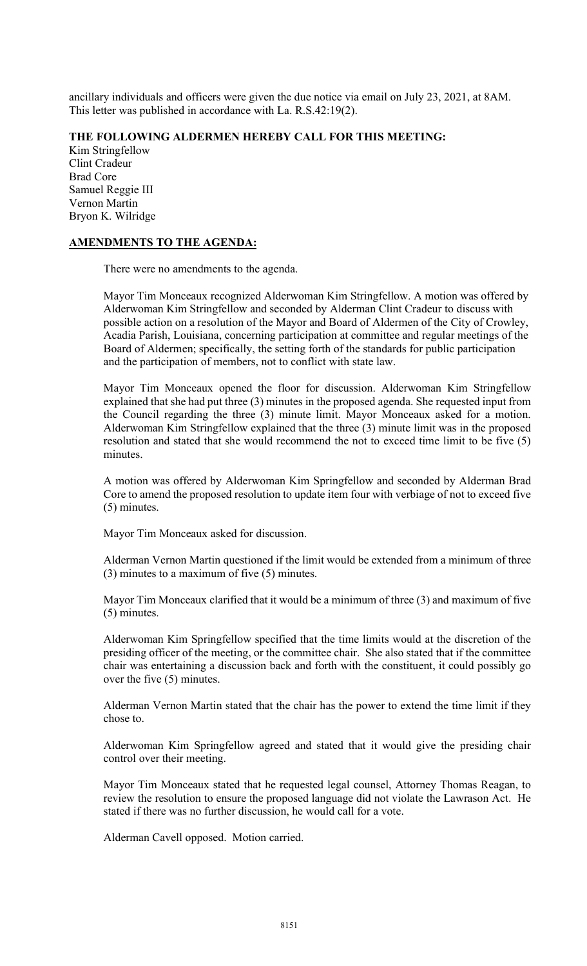ancillary individuals and officers were given the due notice via email on July 23, 2021, at 8AM. This letter was published in accordance with La. R.S.42:19(2).

### THE FOLLOWING ALDERMEN HEREBY CALL FOR THIS MEETING:

Kim Stringfellow Clint Cradeur Brad Core Samuel Reggie III Vernon Martin Bryon K. Wilridge

### AMENDMENTS TO THE AGENDA:

There were no amendments to the agenda.

Mayor Tim Monceaux recognized Alderwoman Kim Stringfellow. A motion was offered by Alderwoman Kim Stringfellow and seconded by Alderman Clint Cradeur to discuss with possible action on a resolution of the Mayor and Board of Aldermen of the City of Crowley, Acadia Parish, Louisiana, concerning participation at committee and regular meetings of the Board of Aldermen; specifically, the setting forth of the standards for public participation and the participation of members, not to conflict with state law.

Mayor Tim Monceaux opened the floor for discussion. Alderwoman Kim Stringfellow explained that she had put three (3) minutes in the proposed agenda. She requested input from the Council regarding the three (3) minute limit. Mayor Monceaux asked for a motion. Alderwoman Kim Stringfellow explained that the three (3) minute limit was in the proposed resolution and stated that she would recommend the not to exceed time limit to be five (5) minutes.

A motion was offered by Alderwoman Kim Springfellow and seconded by Alderman Brad Core to amend the proposed resolution to update item four with verbiage of not to exceed five (5) minutes.

Mayor Tim Monceaux asked for discussion.

Alderman Vernon Martin questioned if the limit would be extended from a minimum of three (3) minutes to a maximum of five (5) minutes.

Mayor Tim Monceaux clarified that it would be a minimum of three (3) and maximum of five (5) minutes.

Alderwoman Kim Springfellow specified that the time limits would at the discretion of the presiding officer of the meeting, or the committee chair. She also stated that if the committee chair was entertaining a discussion back and forth with the constituent, it could possibly go over the five (5) minutes.

Alderman Vernon Martin stated that the chair has the power to extend the time limit if they chose to.

Alderwoman Kim Springfellow agreed and stated that it would give the presiding chair control over their meeting.

Mayor Tim Monceaux stated that he requested legal counsel, Attorney Thomas Reagan, to review the resolution to ensure the proposed language did not violate the Lawrason Act. He stated if there was no further discussion, he would call for a vote.

Alderman Cavell opposed. Motion carried.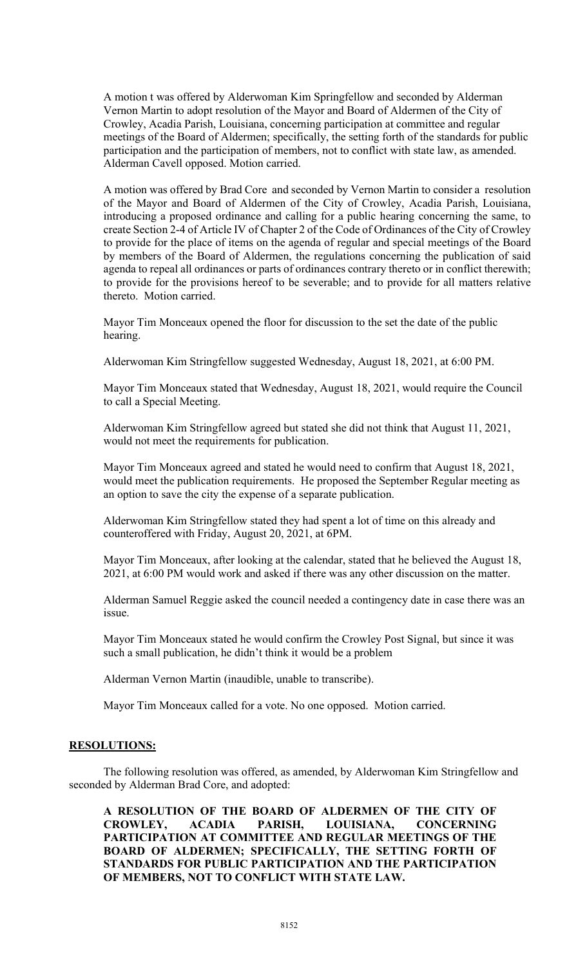A motion t was offered by Alderwoman Kim Springfellow and seconded by Alderman Vernon Martin to adopt resolution of the Mayor and Board of Aldermen of the City of Crowley, Acadia Parish, Louisiana, concerning participation at committee and regular meetings of the Board of Aldermen; specifically, the setting forth of the standards for public participation and the participation of members, not to conflict with state law, as amended. Alderman Cavell opposed. Motion carried.

A motion was offered by Brad Core and seconded by Vernon Martin to consider a resolution of the Mayor and Board of Aldermen of the City of Crowley, Acadia Parish, Louisiana, introducing a proposed ordinance and calling for a public hearing concerning the same, to create Section 2-4 of Article IV of Chapter 2 of the Code of Ordinances of the City of Crowley to provide for the place of items on the agenda of regular and special meetings of the Board by members of the Board of Aldermen, the regulations concerning the publication of said agenda to repeal all ordinances or parts of ordinances contrary thereto or in conflict therewith; to provide for the provisions hereof to be severable; and to provide for all matters relative thereto. Motion carried.

Mayor Tim Monceaux opened the floor for discussion to the set the date of the public hearing.

Alderwoman Kim Stringfellow suggested Wednesday, August 18, 2021, at 6:00 PM.

Mayor Tim Monceaux stated that Wednesday, August 18, 2021, would require the Council to call a Special Meeting.

Alderwoman Kim Stringfellow agreed but stated she did not think that August 11, 2021, would not meet the requirements for publication.

Mayor Tim Monceaux agreed and stated he would need to confirm that August 18, 2021, would meet the publication requirements. He proposed the September Regular meeting as an option to save the city the expense of a separate publication.

Alderwoman Kim Stringfellow stated they had spent a lot of time on this already and counteroffered with Friday, August 20, 2021, at 6PM.

Mayor Tim Monceaux, after looking at the calendar, stated that he believed the August 18, 2021, at 6:00 PM would work and asked if there was any other discussion on the matter.

Alderman Samuel Reggie asked the council needed a contingency date in case there was an issue.

Mayor Tim Monceaux stated he would confirm the Crowley Post Signal, but since it was such a small publication, he didn't think it would be a problem

Alderman Vernon Martin (inaudible, unable to transcribe).

Mayor Tim Monceaux called for a vote. No one opposed. Motion carried.

## RESOLUTIONS:

The following resolution was offered, as amended, by Alderwoman Kim Stringfellow and seconded by Alderman Brad Core, and adopted:

A RESOLUTION OF THE BOARD OF ALDERMEN OF THE CITY OF CROWLEY, ACADIA PARISH, LOUISIANA, CONCERNING PARTICIPATION AT COMMITTEE AND REGULAR MEETINGS OF THE BOARD OF ALDERMEN; SPECIFICALLY, THE SETTING FORTH OF STANDARDS FOR PUBLIC PARTICIPATION AND THE PARTICIPATION OF MEMBERS, NOT TO CONFLICT WITH STATE LAW.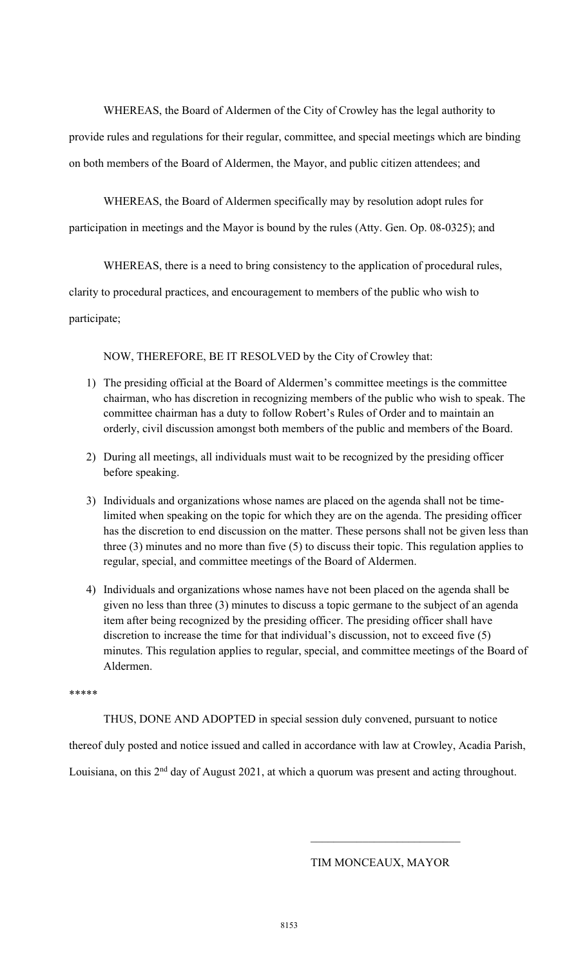WHEREAS, the Board of Aldermen of the City of Crowley has the legal authority to

provide rules and regulations for their regular, committee, and special meetings which are binding

on both members of the Board of Aldermen, the Mayor, and public citizen attendees; and

WHEREAS, the Board of Aldermen specifically may by resolution adopt rules for

participation in meetings and the Mayor is bound by the rules (Atty. Gen. Op. 08-0325); and

WHEREAS, there is a need to bring consistency to the application of procedural rules,

clarity to procedural practices, and encouragement to members of the public who wish to

### participate;

NOW, THEREFORE, BE IT RESOLVED by the City of Crowley that:

- 1) The presiding official at the Board of Aldermen's committee meetings is the committee chairman, who has discretion in recognizing members of the public who wish to speak. The committee chairman has a duty to follow Robert's Rules of Order and to maintain an orderly, civil discussion amongst both members of the public and members of the Board.
- 2) During all meetings, all individuals must wait to be recognized by the presiding officer before speaking.
- 3) Individuals and organizations whose names are placed on the agenda shall not be timelimited when speaking on the topic for which they are on the agenda. The presiding officer has the discretion to end discussion on the matter. These persons shall not be given less than three (3) minutes and no more than five (5) to discuss their topic. This regulation applies to regular, special, and committee meetings of the Board of Aldermen.
- 4) Individuals and organizations whose names have not been placed on the agenda shall be given no less than three (3) minutes to discuss a topic germane to the subject of an agenda item after being recognized by the presiding officer. The presiding officer shall have discretion to increase the time for that individual's discussion, not to exceed five (5) minutes. This regulation applies to regular, special, and committee meetings of the Board of Aldermen.

#### \*\*\*\*\*

THUS, DONE AND ADOPTED in special session duly convened, pursuant to notice

thereof duly posted and notice issued and called in accordance with law at Crowley, Acadia Parish,

Louisiana, on this 2<sup>nd</sup> day of August 2021, at which a quorum was present and acting throughout.

TIM MONCEAUX, MAYOR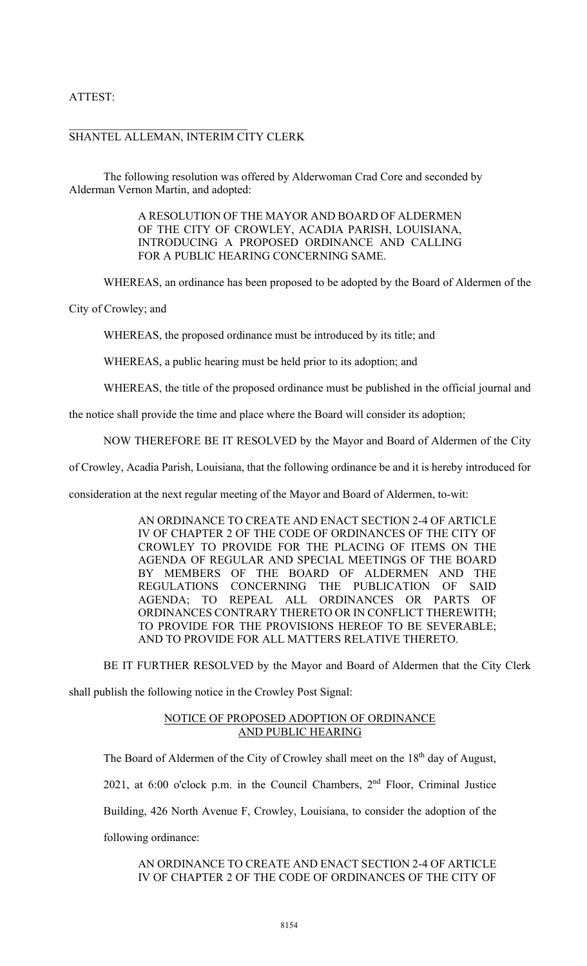## ATTEST:

# SHANTEL ALLEMAN, INTERIM CITY CLERK

 $\mathcal{L}_\text{max}$  , where  $\mathcal{L}_\text{max}$  and  $\mathcal{L}_\text{max}$ 

The following resolution was offered by Alderwoman Crad Core and seconded by Alderman Vernon Martin, and adopted:

> A RESOLUTION OF THE MAYOR AND BOARD OF ALDERMEN OF THE CITY OF CROWLEY, ACADIA PARISH, LOUISIANA, INTRODUCING A PROPOSED ORDINANCE AND CALLING FOR A PUBLIC HEARING CONCERNING SAME.

WHEREAS, an ordinance has been proposed to be adopted by the Board of Aldermen of the

City of Crowley; and

WHEREAS, the proposed ordinance must be introduced by its title; and

WHEREAS, a public hearing must be held prior to its adoption; and

WHEREAS, the title of the proposed ordinance must be published in the official journal and

the notice shall provide the time and place where the Board will consider its adoption;

NOW THEREFORE BE IT RESOLVED by the Mayor and Board of Aldermen of the City

of Crowley, Acadia Parish, Louisiana, that the following ordinance be and it is hereby introduced for

consideration at the next regular meeting of the Mayor and Board of Aldermen, to-wit:

AN ORDINANCE TO CREATE AND ENACT SECTION 2-4 OF ARTICLE IV OF CHAPTER 2 OF THE CODE OF ORDINANCES OF THE CITY OF CROWLEY TO PROVIDE FOR THE PLACING OF ITEMS ON THE AGENDA OF REGULAR AND SPECIAL MEETINGS OF THE BOARD BY MEMBERS OF THE BOARD OF ALDERMEN AND THE REGULATIONS CONCERNING THE PUBLICATION OF SAID AGENDA; TO REPEAL ALL ORDINANCES OR PARTS OF ORDINANCES CONTRARY THERETO OR IN CONFLICT THEREWITH; TO PROVIDE FOR THE PROVISIONS HEREOF TO BE SEVERABLE; AND TO PROVIDE FOR ALL MATTERS RELATIVE THERETO.

BE IT FURTHER RESOLVED by the Mayor and Board of Aldermen that the City Clerk

shall publish the following notice in the Crowley Post Signal:

## NOTICE OF PROPOSED ADOPTION OF ORDINANCE AND PUBLIC HEARING

The Board of Aldermen of the City of Crowley shall meet on the 18<sup>th</sup> day of August, 2021, at 6:00 o'clock p.m. in the Council Chambers, 2<sup>nd</sup> Floor, Criminal Justice Building, 426 North Avenue F, Crowley, Louisiana, to consider the adoption of the following ordinance:

AN ORDINANCE TO CREATE AND ENACT SECTION 2-4 OF ARTICLE IV OF CHAPTER 2 OF THE CODE OF ORDINANCES OF THE CITY OF